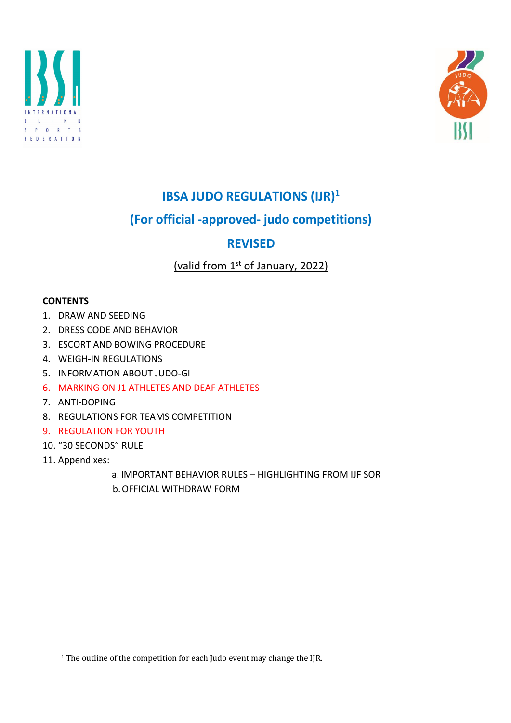



# **IBSA JUDO REGULATIONS (IJR)1**

# **(For official -approved- judo competitions)**

# **REVISED**

# (valid from  $1<sup>st</sup>$  of January, 2022)

# **CONTENTS**

- 1. DRAW AND SEEDING
- 2. DRESS CODE AND BEHAVIOR
- 3. ESCORT AND BOWING PROCEDURE
- 4. WEIGH-IN REGULATIONS
- 5. INFORMATION ABOUT JUDO-GI
- 6. MARKING ON J1 ATHLETES AND DEAF ATHLETES
- 7. ANTI-DOPING
- 8. REGULATIONS FOR TEAMS COMPETITION
- 9. REGULATION FOR YOUTH
- 10. "30 SECONDS" RULE
- 11. Appendixes:
	- a. IMPORTANT BEHAVIOR RULES HIGHLIGHTING FROM IJF SOR
	- b.OFFICIAL WITHDRAW FORM

<sup>&</sup>lt;sup>1</sup> The outline of the competition for each Judo event may change the IJR.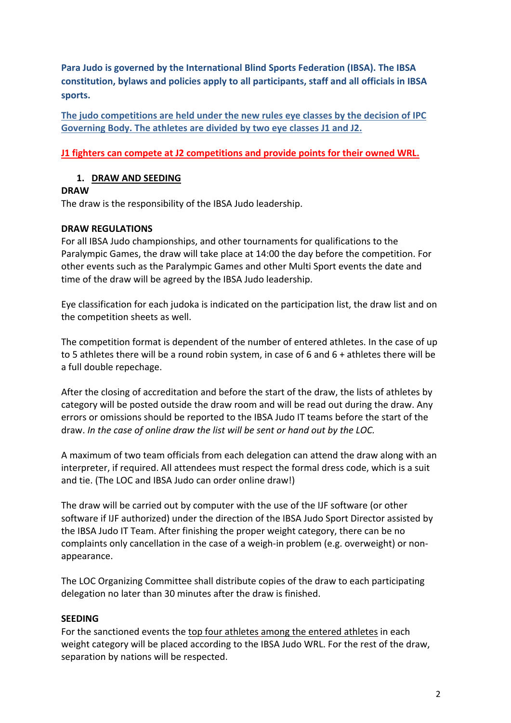**Para Judo is governed by the International Blind Sports Federation (IBSA). The IBSA constitution, bylaws and policies apply to all participants, staff and all officials in IBSA sports.**

**The judo competitions are held under the new rules eye classes by the decision of IPC Governing Body. The athletes are divided by two eye classes J1 and J2.** 

**J1 fighters can compete at J2 competitions and provide points for their owned WRL.**

# **1. DRAW AND SEEDING**

# **DRAW**

The draw is the responsibility of the IBSA Judo leadership.

# **DRAW REGULATIONS**

For all IBSA Judo championships, and other tournaments for qualifications to the Paralympic Games, the draw will take place at 14:00 the day before the competition. For other events such as the Paralympic Games and other Multi Sport events the date and time of the draw will be agreed by the IBSA Judo leadership.

Eye classification for each judoka is indicated on the participation list, the draw list and on the competition sheets as well.

The competition format is dependent of the number of entered athletes. In the case of up to 5 athletes there will be a round robin system, in case of 6 and 6 + athletes there will be a full double repechage.

After the closing of accreditation and before the start of the draw, the lists of athletes by category will be posted outside the draw room and will be read out during the draw. Any errors or omissions should be reported to the IBSA Judo IT teams before the start of the draw. *In the case of online draw the list will be sent or hand out by the LOC.*

A maximum of two team officials from each delegation can attend the draw along with an interpreter, if required. All attendees must respect the formal dress code, which is a suit and tie. (The LOC and IBSA Judo can order online draw!)

The draw will be carried out by computer with the use of the IJF software (or other software if IJF authorized) under the direction of the IBSA Judo Sport Director assisted by the IBSA Judo IT Team. After finishing the proper weight category, there can be no complaints only cancellation in the case of a weigh-in problem (e.g. overweight) or nonappearance.

The LOC Organizing Committee shall distribute copies of the draw to each participating delegation no later than 30 minutes after the draw is finished.

# **SEEDING**

For the sanctioned events the top four athletes among the entered athletes in each weight category will be placed according to the IBSA Judo WRL. For the rest of the draw, separation by nations will be respected.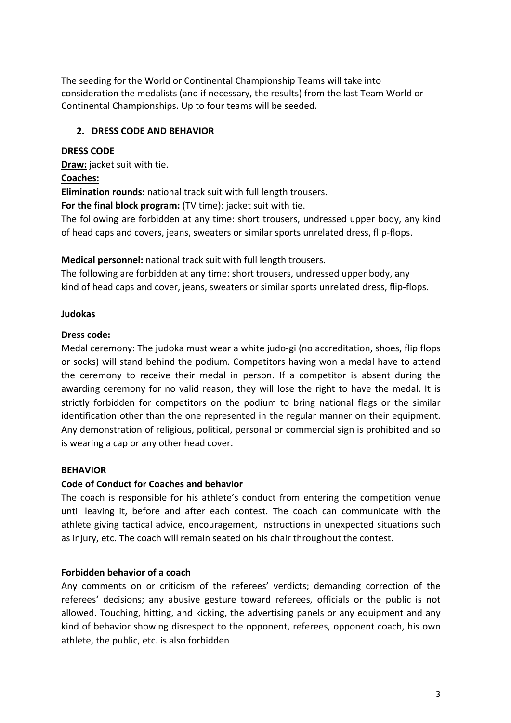The seeding for the World or Continental Championship Teams will take into consideration the medalists (and if necessary, the results) from the last Team World or Continental Championships. Up to four teams will be seeded.

# **2. DRESS CODE AND BEHAVIOR**

# **DRESS CODE**

**Draw:** jacket suit with tie.

# **Coaches:**

**Elimination rounds:** national track suit with full length trousers.

**For the final block program:** (TV time): jacket suit with tie.

The following are forbidden at any time: short trousers, undressed upper body, any kind of head caps and covers, jeans, sweaters or similar sports unrelated dress, flip-flops.

**Medical personnel:** national track suit with full length trousers.

The following are forbidden at any time: short trousers, undressed upper body, any kind of head caps and cover, jeans, sweaters or similar sports unrelated dress, flip-flops.

# **Judokas**

# **Dress code:**

Medal ceremony: The judoka must wear a white judo-gi (no accreditation, shoes, flip flops or socks) will stand behind the podium. Competitors having won a medal have to attend the ceremony to receive their medal in person. If a competitor is absent during the awarding ceremony for no valid reason, they will lose the right to have the medal. It is strictly forbidden for competitors on the podium to bring national flags or the similar identification other than the one represented in the regular manner on their equipment. Any demonstration of religious, political, personal or commercial sign is prohibited and so is wearing a cap or any other head cover.

#### **BEHAVIOR**

# **Code of Conduct for Coaches and behavior**

The coach is responsible for his athlete's conduct from entering the competition venue until leaving it, before and after each contest. The coach can communicate with the athlete giving tactical advice, encouragement, instructions in unexpected situations such as injury, etc. The coach will remain seated on his chair throughout the contest.

# **Forbidden behavior of a coach**

Any comments on or criticism of the referees' verdicts; demanding correction of the referees' decisions; any abusive gesture toward referees, officials or the public is not allowed. Touching, hitting, and kicking, the advertising panels or any equipment and any kind of behavior showing disrespect to the opponent, referees, opponent coach, his own athlete, the public, etc. is also forbidden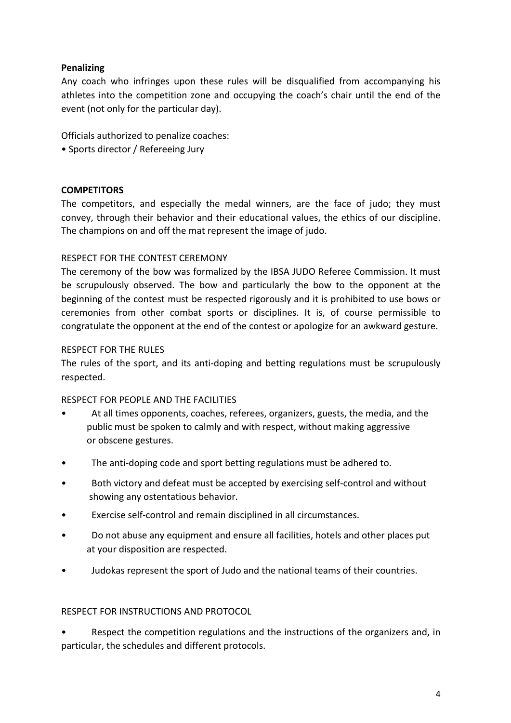# **Penalizing**

Any coach who infringes upon these rules will be disqualified from accompanying his athletes into the competition zone and occupying the coach's chair until the end of the event (not only for the particular day).

Officials authorized to penalize coaches:

• Sports director / Refereeing Jury

# **COMPETITORS**

The competitors, and especially the medal winners, are the face of judo; they must convey, through their behavior and their educational values, the ethics of our discipline. The champions on and off the mat represent the image of judo.

# RESPECT FOR THE CONTEST CEREMONY

The ceremony of the bow was formalized by the IBSA JUDO Referee Commission. It must be scrupulously observed. The bow and particularly the bow to the opponent at the beginning of the contest must be respected rigorously and it is prohibited to use bows or ceremonies from other combat sports or disciplines. It is, of course permissible to congratulate the opponent at the end of the contest or apologize for an awkward gesture.

#### RESPECT FOR THE RULES

The rules of the sport, and its anti-doping and betting regulations must be scrupulously respected.

#### RESPECT FOR PEOPLE AND THE FACILITIES

- At all times opponents, coaches, referees, organizers, guests, the media, and the public must be spoken to calmly and with respect, without making aggressive or obscene gestures.
- The anti-doping code and sport betting regulations must be adhered to.
- Both victory and defeat must be accepted by exercising self-control and without showing any ostentatious behavior.
- Exercise self-control and remain disciplined in all circumstances.
- Do not abuse any equipment and ensure all facilities, hotels and other places put at your disposition are respected.
- Judokas represent the sport of Judo and the national teams of their countries.

#### RESPECT FOR INSTRUCTIONS AND PROTOCOL

• Respect the competition regulations and the instructions of the organizers and, in particular, the schedules and different protocols.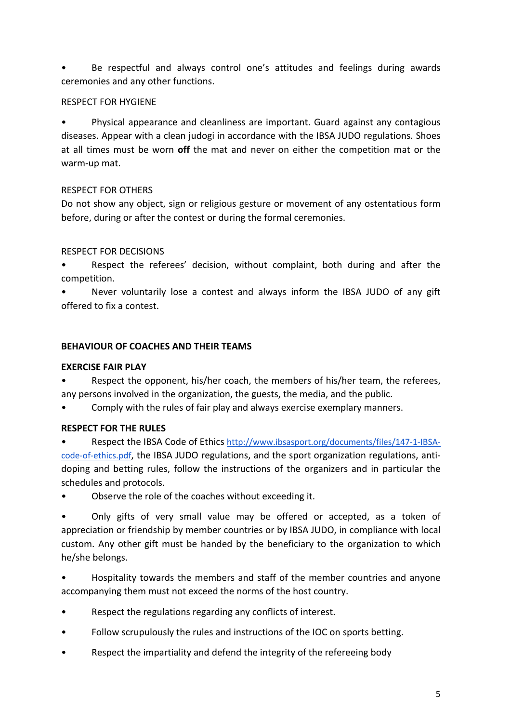• Be respectful and always control one's attitudes and feelings during awards ceremonies and any other functions.

# RESPECT FOR HYGIENE

• Physical appearance and cleanliness are important. Guard against any contagious diseases. Appear with a clean judogi in accordance with the IBSA JUDO regulations. Shoes at all times must be worn **off** the mat and never on either the competition mat or the warm-up mat.

# RESPECT FOR OTHERS

Do not show any object, sign or religious gesture or movement of any ostentatious form before, during or after the contest or during the formal ceremonies.

# RESPECT FOR DECISIONS

• Respect the referees' decision, without complaint, both during and after the competition.

• Never voluntarily lose a contest and always inform the IBSA JUDO of any gift offered to fix a contest.

# **BEHAVIOUR OF COACHES AND THEIR TEAMS**

# **EXERCISE FAIR PLAY**

Respect the opponent, his/her coach, the members of his/her team, the referees, any persons involved in the organization, the guests, the media, and the public.

• Comply with the rules of fair play and always exercise exemplary manners.

# **RESPECT FOR THE RULES**

• Respect the IBSA Code of Ethics http://www.ibsasport.org/documents/files/147-1-IBSAcode-of-ethics.pdf, the IBSA JUDO regulations, and the sport organization regulations, antidoping and betting rules, follow the instructions of the organizers and in particular the schedules and protocols.

• Observe the role of the coaches without exceeding it.

• Only gifts of very small value may be offered or accepted, as a token of appreciation or friendship by member countries or by IBSA JUDO, in compliance with local custom. Any other gift must be handed by the beneficiary to the organization to which he/she belongs.

• Hospitality towards the members and staff of the member countries and anyone accompanying them must not exceed the norms of the host country.

- Respect the regulations regarding any conflicts of interest.
- Follow scrupulously the rules and instructions of the IOC on sports betting.
- Respect the impartiality and defend the integrity of the refereeing body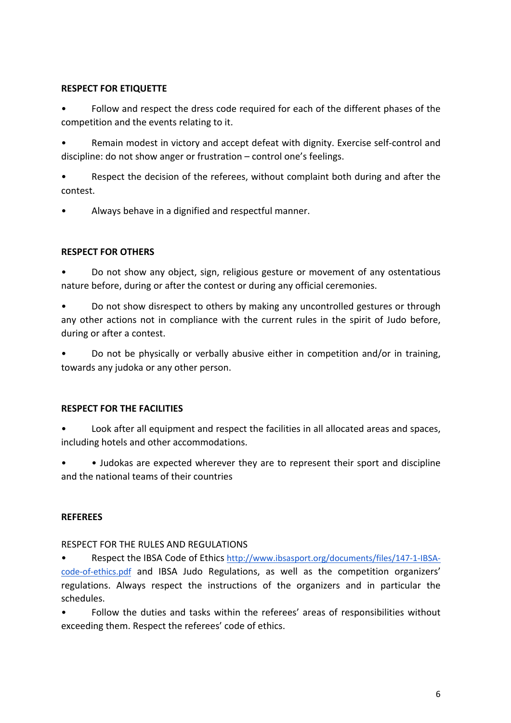# **RESPECT FOR ETIQUETTE**

• Follow and respect the dress code required for each of the different phases of the competition and the events relating to it.

• Remain modest in victory and accept defeat with dignity. Exercise self-control and discipline: do not show anger or frustration – control one's feelings.

• Respect the decision of the referees, without complaint both during and after the contest.

• Always behave in a dignified and respectful manner.

# **RESPECT FOR OTHERS**

• Do not show any object, sign, religious gesture or movement of any ostentatious nature before, during or after the contest or during any official ceremonies.

• Do not show disrespect to others by making any uncontrolled gestures or through any other actions not in compliance with the current rules in the spirit of Judo before, during or after a contest.

• Do not be physically or verbally abusive either in competition and/or in training, towards any judoka or any other person.

# **RESPECT FOR THE FACILITIES**

• Look after all equipment and respect the facilities in all allocated areas and spaces, including hotels and other accommodations.

• • Judokas are expected wherever they are to represent their sport and discipline and the national teams of their countries

# **REFEREES**

RESPECT FOR THE RULES AND REGULATIONS

• Respect the IBSA Code of Ethics http://www.ibsasport.org/documents/files/147-1-IBSAcode-of-ethics.pdf and IBSA Judo Regulations, as well as the competition organizers' regulations. Always respect the instructions of the organizers and in particular the schedules.

• Follow the duties and tasks within the referees' areas of responsibilities without exceeding them. Respect the referees' code of ethics.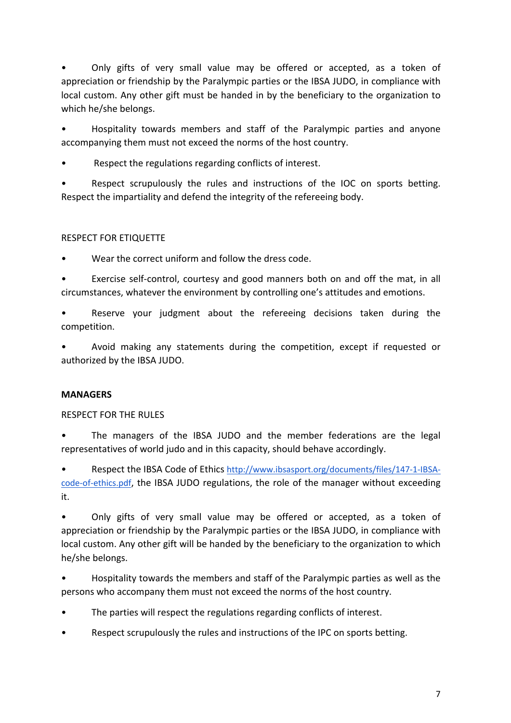• Only gifts of very small value may be offered or accepted, as a token of appreciation or friendship by the Paralympic parties or the IBSA JUDO, in compliance with local custom. Any other gift must be handed in by the beneficiary to the organization to which he/she belongs.

• Hospitality towards members and staff of the Paralympic parties and anyone accompanying them must not exceed the norms of the host country.

Respect the regulations regarding conflicts of interest.

• Respect scrupulously the rules and instructions of the IOC on sports betting. Respect the impartiality and defend the integrity of the refereeing body.

# RESPECT FOR ETIQUETTE

Wear the correct uniform and follow the dress code.

• Exercise self-control, courtesy and good manners both on and off the mat, in all circumstances, whatever the environment by controlling one's attitudes and emotions.

Reserve your judgment about the refereeing decisions taken during the competition.

• Avoid making any statements during the competition, except if requested or authorized by the IBSA JUDO.

# **MANAGERS**

RESPECT FOR THE RULES

• The managers of the IBSA JUDO and the member federations are the legal representatives of world judo and in this capacity, should behave accordingly.

• Respect the IBSA Code of Ethics http://www.ibsasport.org/documents/files/147-1-IBSAcode-of-ethics.pdf, the IBSA JUDO regulations, the role of the manager without exceeding it.

• Only gifts of very small value may be offered or accepted, as a token of appreciation or friendship by the Paralympic parties or the IBSA JUDO, in compliance with local custom. Any other gift will be handed by the beneficiary to the organization to which he/she belongs.

• Hospitality towards the members and staff of the Paralympic parties as well as the persons who accompany them must not exceed the norms of the host country.

- The parties will respect the regulations regarding conflicts of interest.
- Respect scrupulously the rules and instructions of the IPC on sports betting.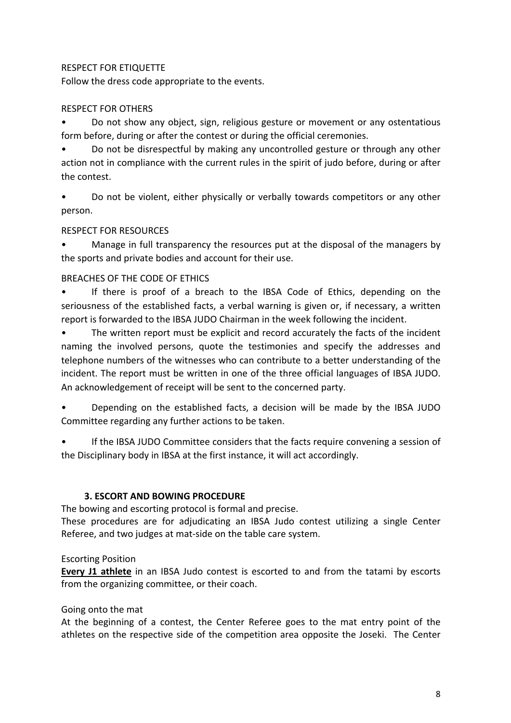# RESPECT FOR ETIQUETTE

Follow the dress code appropriate to the events.

# RESPECT FOR OTHERS

• Do not show any object, sign, religious gesture or movement or any ostentatious form before, during or after the contest or during the official ceremonies.

• Do not be disrespectful by making any uncontrolled gesture or through any other action not in compliance with the current rules in the spirit of judo before, during or after the contest.

• Do not be violent, either physically or verbally towards competitors or any other person.

# RESPECT FOR RESOURCES

• Manage in full transparency the resources put at the disposal of the managers by the sports and private bodies and account for their use.

#### BREACHES OF THE CODE OF ETHICS

• If there is proof of a breach to the IBSA Code of Ethics, depending on the seriousness of the established facts, a verbal warning is given or, if necessary, a written report is forwarded to the IBSA JUDO Chairman in the week following the incident.

• The written report must be explicit and record accurately the facts of the incident naming the involved persons, quote the testimonies and specify the addresses and telephone numbers of the witnesses who can contribute to a better understanding of the incident. The report must be written in one of the three official languages of IBSA JUDO. An acknowledgement of receipt will be sent to the concerned party.

• Depending on the established facts, a decision will be made by the IBSA JUDO Committee regarding any further actions to be taken.

If the IBSA JUDO Committee considers that the facts require convening a session of the Disciplinary body in IBSA at the first instance, it will act accordingly.

#### **3. ESCORT AND BOWING PROCEDURE**

The bowing and escorting protocol is formal and precise.

These procedures are for adjudicating an IBSA Judo contest utilizing a single Center Referee, and two judges at mat-side on the table care system.

#### Escorting Position

**Every J1 athlete** in an IBSA Judo contest is escorted to and from the tatami by escorts from the organizing committee, or their coach.

#### Going onto the mat

At the beginning of a contest, the Center Referee goes to the mat entry point of the athletes on the respective side of the competition area opposite the Joseki. The Center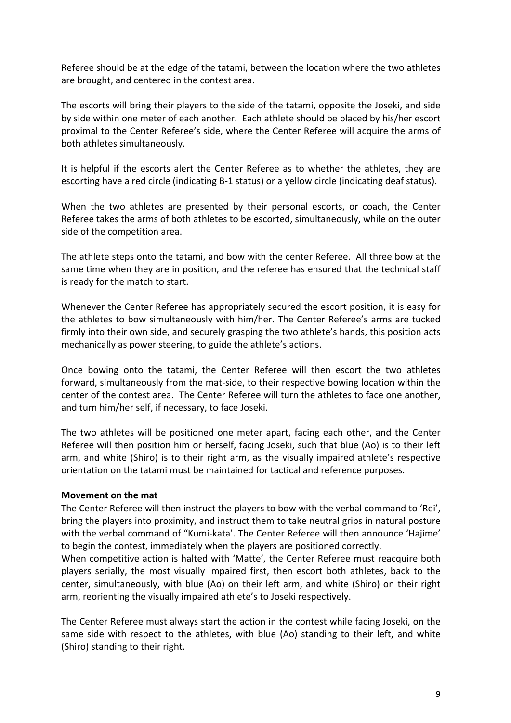Referee should be at the edge of the tatami, between the location where the two athletes are brought, and centered in the contest area.

The escorts will bring their players to the side of the tatami, opposite the Joseki, and side by side within one meter of each another. Each athlete should be placed by his/her escort proximal to the Center Referee's side, where the Center Referee will acquire the arms of both athletes simultaneously.

It is helpful if the escorts alert the Center Referee as to whether the athletes, they are escorting have a red circle (indicating B-1 status) or a yellow circle (indicating deaf status).

When the two athletes are presented by their personal escorts, or coach, the Center Referee takes the arms of both athletes to be escorted, simultaneously, while on the outer side of the competition area.

The athlete steps onto the tatami, and bow with the center Referee. All three bow at the same time when they are in position, and the referee has ensured that the technical staff is ready for the match to start.

Whenever the Center Referee has appropriately secured the escort position, it is easy for the athletes to bow simultaneously with him/her. The Center Referee's arms are tucked firmly into their own side, and securely grasping the two athlete's hands, this position acts mechanically as power steering, to guide the athlete's actions.

Once bowing onto the tatami, the Center Referee will then escort the two athletes forward, simultaneously from the mat-side, to their respective bowing location within the center of the contest area. The Center Referee will turn the athletes to face one another, and turn him/her self, if necessary, to face Joseki.

The two athletes will be positioned one meter apart, facing each other, and the Center Referee will then position him or herself, facing Joseki, such that blue (Ao) is to their left arm, and white (Shiro) is to their right arm, as the visually impaired athlete's respective orientation on the tatami must be maintained for tactical and reference purposes.

#### **Movement on the mat**

The Center Referee will then instruct the players to bow with the verbal command to 'Rei', bring the players into proximity, and instruct them to take neutral grips in natural posture with the verbal command of "Kumi-kata'. The Center Referee will then announce 'Hajime' to begin the contest, immediately when the players are positioned correctly.

When competitive action is halted with 'Matte', the Center Referee must reacquire both players serially, the most visually impaired first, then escort both athletes, back to the center, simultaneously, with blue (Ao) on their left arm, and white (Shiro) on their right arm, reorienting the visually impaired athlete's to Joseki respectively.

The Center Referee must always start the action in the contest while facing Joseki, on the same side with respect to the athletes, with blue (Ao) standing to their left, and white (Shiro) standing to their right.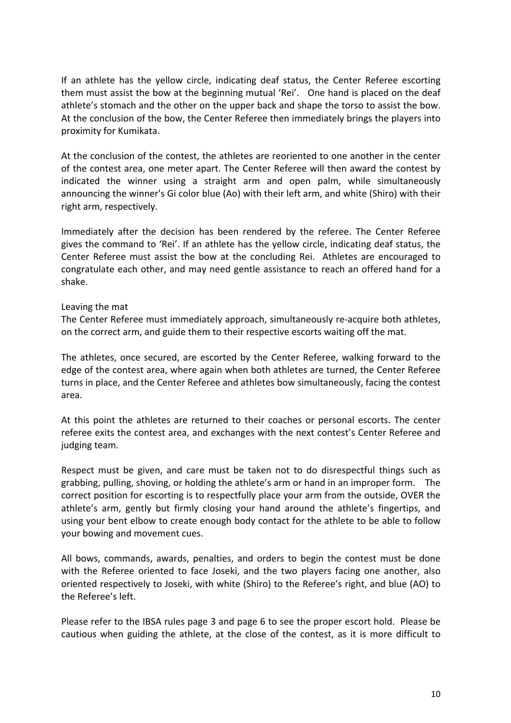If an athlete has the yellow circle, indicating deaf status, the Center Referee escorting them must assist the bow at the beginning mutual 'Rei'. One hand is placed on the deaf athlete's stomach and the other on the upper back and shape the torso to assist the bow. At the conclusion of the bow, the Center Referee then immediately brings the players into proximity for Kumikata.

At the conclusion of the contest, the athletes are reoriented to one another in the center of the contest area, one meter apart. The Center Referee will then award the contest by indicated the winner using a straight arm and open palm, while simultaneously announcing the winner's Gi color blue (Ao) with their left arm, and white (Shiro) with their right arm, respectively.

Immediately after the decision has been rendered by the referee. The Center Referee gives the command to 'Rei'. If an athlete has the yellow circle, indicating deaf status, the Center Referee must assist the bow at the concluding Rei. Athletes are encouraged to congratulate each other, and may need gentle assistance to reach an offered hand for a shake.

#### Leaving the mat

The Center Referee must immediately approach, simultaneously re-acquire both athletes, on the correct arm, and guide them to their respective escorts waiting off the mat.

The athletes, once secured, are escorted by the Center Referee, walking forward to the edge of the contest area, where again when both athletes are turned, the Center Referee turns in place, and the Center Referee and athletes bow simultaneously, facing the contest area.

At this point the athletes are returned to their coaches or personal escorts. The center referee exits the contest area, and exchanges with the next contest's Center Referee and judging team.

Respect must be given, and care must be taken not to do disrespectful things such as grabbing, pulling, shoving, or holding the athlete's arm or hand in an improper form. The correct position for escorting is to respectfully place your arm from the outside, OVER the athlete's arm, gently but firmly closing your hand around the athlete's fingertips, and using your bent elbow to create enough body contact for the athlete to be able to follow your bowing and movement cues.

All bows, commands, awards, penalties, and orders to begin the contest must be done with the Referee oriented to face Joseki, and the two players facing one another, also oriented respectively to Joseki, with white (Shiro) to the Referee's right, and blue (AO) to the Referee's left.

Please refer to the IBSA rules page 3 and page 6 to see the proper escort hold. Please be cautious when guiding the athlete, at the close of the contest, as it is more difficult to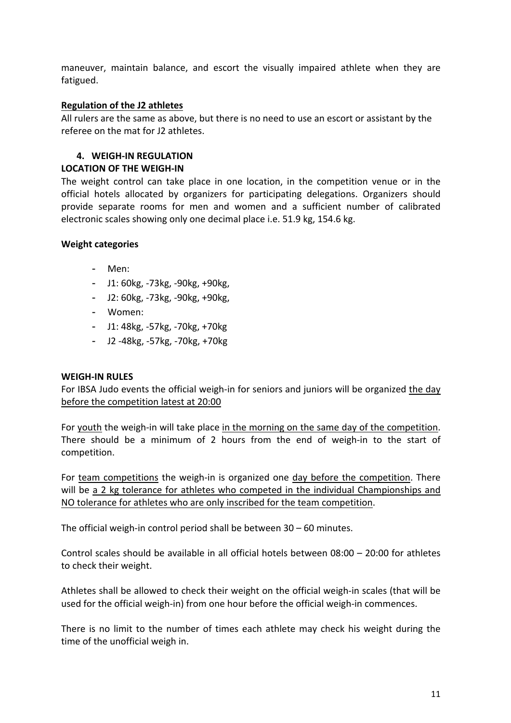maneuver, maintain balance, and escort the visually impaired athlete when they are fatigued.

#### **Regulation of the J2 athletes**

All rulers are the same as above, but there is no need to use an escort or assistant by the referee on the mat for J2 athletes.

#### **4. WEIGH-IN REGULATION**

#### **LOCATION OF THE WEIGH-IN**

The weight control can take place in one location, in the competition venue or in the official hotels allocated by organizers for participating delegations. Organizers should provide separate rooms for men and women and a sufficient number of calibrated electronic scales showing only one decimal place i.e. 51.9 kg, 154.6 kg.

#### **Weight categories**

- Men:
- J1: 60kg, -73kg, -90kg, +90kg,
- J2: 60kg, -73kg, -90kg, +90kg,
- Women:
- J1: 48kg, -57kg, -70kg, +70kg
- J2 -48kg, -57kg, -70kg, +70kg

#### **WEIGH-IN RULES**

For IBSA Judo events the official weigh-in for seniors and juniors will be organized the day before the competition latest at 20:00

For youth the weigh-in will take place in the morning on the same day of the competition. There should be a minimum of 2 hours from the end of weigh-in to the start of competition.

For team competitions the weigh-in is organized one day before the competition. There will be a 2 kg tolerance for athletes who competed in the individual Championships and NO tolerance for athletes who are only inscribed for the team competition.

The official weigh-in control period shall be between 30 – 60 minutes.

Control scales should be available in all official hotels between 08:00 – 20:00 for athletes to check their weight.

Athletes shall be allowed to check their weight on the official weigh-in scales (that will be used for the official weigh-in) from one hour before the official weigh-in commences.

There is no limit to the number of times each athlete may check his weight during the time of the unofficial weigh in.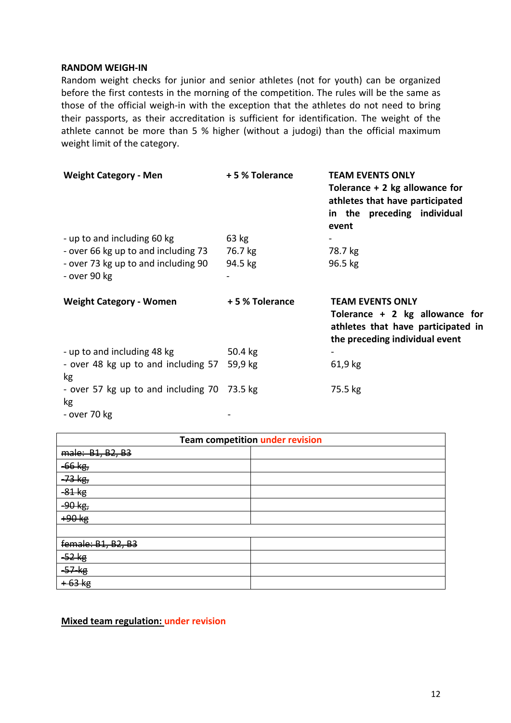#### **RANDOM WEIGH-IN**

Random weight checks for junior and senior athletes (not for youth) can be organized before the first contests in the morning of the competition. The rules will be the same as those of the official weigh-in with the exception that the athletes do not need to bring their passports, as their accreditation is sufficient for identification. The weight of the athlete cannot be more than 5 % higher (without a judogi) than the official maximum weight limit of the category.

| <b>Weight Category - Men</b>                        | +5 % Tolerance | <b>TEAM EVENTS ONLY</b><br>Tolerance $+2$ kg allowance for<br>athletes that have participated<br>in the preceding individual<br>event |
|-----------------------------------------------------|----------------|---------------------------------------------------------------------------------------------------------------------------------------|
| - up to and including 60 kg                         | 63 kg          |                                                                                                                                       |
| - over 66 kg up to and including 73                 | 76.7 kg        | 78.7 kg                                                                                                                               |
| - over 73 kg up to and including 90<br>- over 90 kg | 94.5 kg        | 96.5 kg                                                                                                                               |
| <b>Weight Category - Women</b>                      | +5% Tolerance  | <b>TEAM EVENTS ONLY</b><br>Tolerance + 2 kg allowance for<br>athletes that have participated in<br>the preceding individual event     |
| - up to and including 48 kg                         | 50.4 kg        |                                                                                                                                       |
| - over 48 kg up to and including 57<br>kg           | 59,9 kg        | 61,9 kg                                                                                                                               |
| - over 57 kg up to and including 70<br><b>kg</b>    | 73.5 kg        | 75.5 kg                                                                                                                               |
| - over 70 kg                                        |                |                                                                                                                                       |

| <b>Team competition under revision</b> |  |  |
|----------------------------------------|--|--|
| male: B1, B2, B3                       |  |  |
| $-66$ $kg$                             |  |  |
| <del>-73 kg,</del>                     |  |  |
| $-81$ kg                               |  |  |
| <del>90 kg</del>                       |  |  |
| +90 kg                                 |  |  |
|                                        |  |  |
| female: B1, B2, B3                     |  |  |
| $-52$ $kg$                             |  |  |
| $-57$ $-18$                            |  |  |
|                                        |  |  |

**Mixed team regulation: under revision**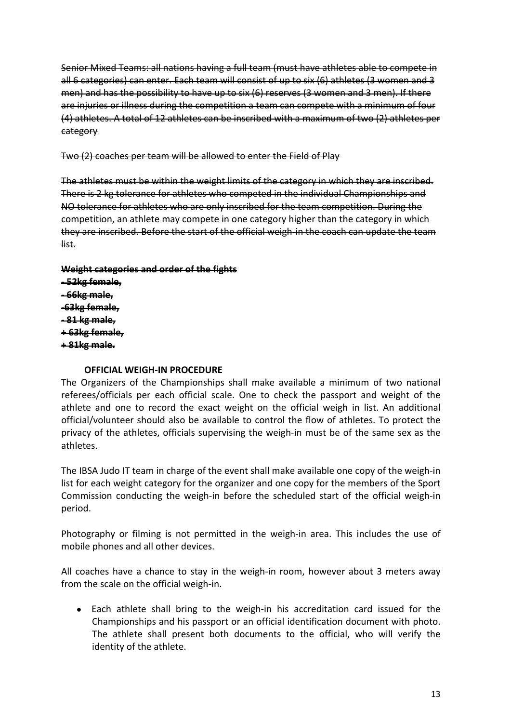Senior Mixed Teams: all nations having a full team (must have athletes able to compete in all 6 categories) can enter. Each team will consist of up to six (6) athletes (3 women and 3 men) and has the possibility to have up to six (6) reserves (3 women and 3 men). If there are injuries or illness during the competition a team can compete with a minimum of four (4) athletes. A total of 12 athletes can be inscribed with a maximum of two (2) athletes per category

Two (2) coaches per team will be allowed to enter the Field of Play

The athletes must be within the weight limits of the category in which they are inscribed. There is 2 kg tolerance for athletes who competed in the individual Championships and NO tolerance for athletes who are only inscribed for the team competition. During the competition, an athlete may compete in one category higher than the category in which they are inscribed. Before the start of the official weigh-in the coach can update the team list.

# **Weight categories and order of the fights - 52kg female, - 66kg male,**

**-63kg female, - 81 kg male, + 63kg female, + 81kg male.**

# **OFFICIAL WEIGH-IN PROCEDURE**

The Organizers of the Championships shall make available a minimum of two national referees/officials per each official scale. One to check the passport and weight of the athlete and one to record the exact weight on the official weigh in list. An additional official/volunteer should also be available to control the flow of athletes. To protect the privacy of the athletes, officials supervising the weigh-in must be of the same sex as the athletes.

The IBSA Judo IT team in charge of the event shall make available one copy of the weigh-in list for each weight category for the organizer and one copy for the members of the Sport Commission conducting the weigh-in before the scheduled start of the official weigh-in period.

Photography or filming is not permitted in the weigh-in area. This includes the use of mobile phones and all other devices.

All coaches have a chance to stay in the weigh-in room, however about 3 meters away from the scale on the official weigh-in.

• Each athlete shall bring to the weigh-in his accreditation card issued for the Championships and his passport or an official identification document with photo. The athlete shall present both documents to the official, who will verify the identity of the athlete.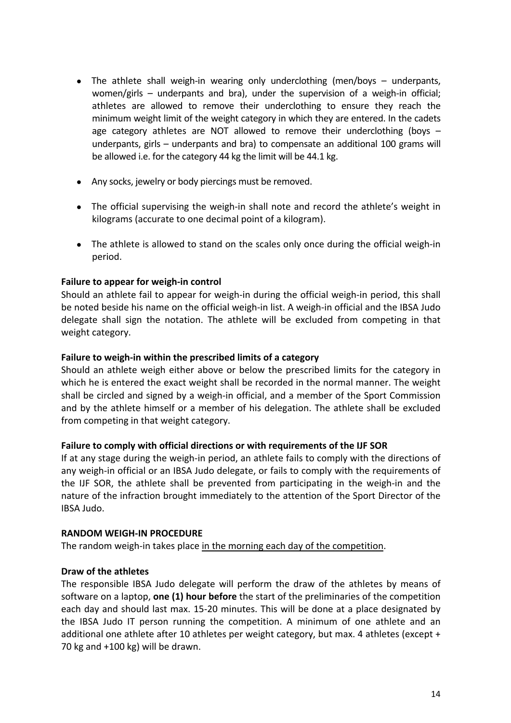- The athlete shall weigh-in wearing only underclothing (men/boys underpants, women/girls – underpants and bra), under the supervision of a weigh-in official; athletes are allowed to remove their underclothing to ensure they reach the minimum weight limit of the weight category in which they are entered. In the cadets age category athletes are NOT allowed to remove their underclothing (boys  $$ underpants, girls – underpants and bra) to compensate an additional 100 grams will be allowed i.e. for the category 44 kg the limit will be 44.1 kg.
- Any socks, jewelry or body piercings must be removed.
- The official supervising the weigh-in shall note and record the athlete's weight in kilograms (accurate to one decimal point of a kilogram).
- The athlete is allowed to stand on the scales only once during the official weigh-in period.

# **Failure to appear for weigh-in control**

Should an athlete fail to appear for weigh-in during the official weigh-in period, this shall be noted beside his name on the official weigh-in list. A weigh-in official and the IBSA Judo delegate shall sign the notation. The athlete will be excluded from competing in that weight category.

#### **Failure to weigh-in within the prescribed limits of a category**

Should an athlete weigh either above or below the prescribed limits for the category in which he is entered the exact weight shall be recorded in the normal manner. The weight shall be circled and signed by a weigh-in official, and a member of the Sport Commission and by the athlete himself or a member of his delegation. The athlete shall be excluded from competing in that weight category.

#### **Failure to comply with official directions or with requirements of the IJF SOR**

If at any stage during the weigh-in period, an athlete fails to comply with the directions of any weigh-in official or an IBSA Judo delegate, or fails to comply with the requirements of the IJF SOR, the athlete shall be prevented from participating in the weigh-in and the nature of the infraction brought immediately to the attention of the Sport Director of the IBSA Judo.

#### **RANDOM WEIGH-IN PROCEDURE**

The random weigh-in takes place in the morning each day of the competition.

# **Draw of the athletes**

The responsible IBSA Judo delegate will perform the draw of the athletes by means of software on a laptop, **one (1) hour before** the start of the preliminaries of the competition each day and should last max. 15-20 minutes. This will be done at a place designated by the IBSA Judo IT person running the competition. A minimum of one athlete and an additional one athlete after 10 athletes per weight category, but max. 4 athletes (except + 70 kg and +100 kg) will be drawn.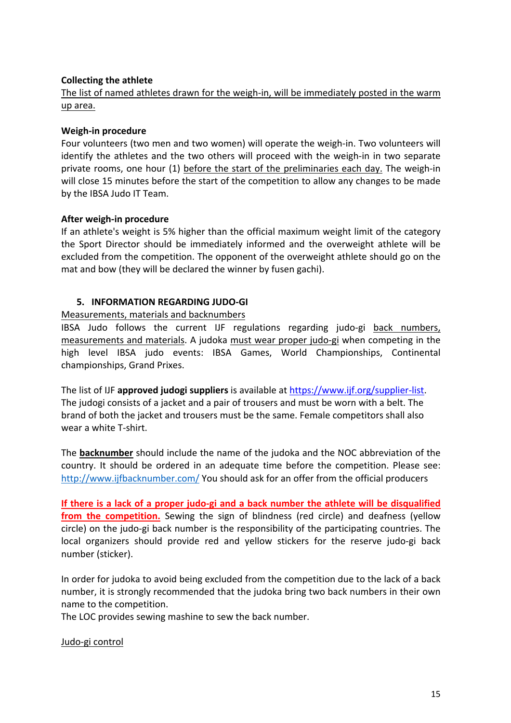# **Collecting the athlete**

The list of named athletes drawn for the weigh-in, will be immediately posted in the warm up area.

#### **Weigh-in procedure**

Four volunteers (two men and two women) will operate the weigh-in. Two volunteers will identify the athletes and the two others will proceed with the weigh-in in two separate private rooms, one hour (1) before the start of the preliminaries each day. The weigh-in will close 15 minutes before the start of the competition to allow any changes to be made by the IBSA Judo IT Team.

# **After weigh-in procedure**

If an athlete's weight is 5% higher than the official maximum weight limit of the category the Sport Director should be immediately informed and the overweight athlete will be excluded from the competition. The opponent of the overweight athlete should go on the mat and bow (they will be declared the winner by fusen gachi).

# **5. INFORMATION REGARDING JUDO-GI**

# Measurements, materials and backnumbers

IBSA Judo follows the current IJF regulations regarding judo-gi back numbers, measurements and materials. A judoka must wear proper judo-gi when competing in the high level IBSA judo events: IBSA Games, World Championships, Continental championships, Grand Prixes.

The list of IJF **approved judogi suppliers** is available at https://www.ijf.org/supplier-list. The judogi consists of a jacket and a pair of trousers and must be worn with a belt. The brand of both the jacket and trousers must be the same. Female competitors shall also wear a white T-shirt.

The **backnumber** should include the name of the judoka and the NOC abbreviation of the country. It should be ordered in an adequate time before the competition. Please see: http://www.ijfbacknumber.com/ You should ask for an offer from the official producers

**If there is a lack of a proper judo-gi and a back number the athlete will be disqualified**  from the competition. Sewing the sign of blindness (red circle) and deafness (yellow circle) on the judo-gi back number is the responsibility of the participating countries. The local organizers should provide red and yellow stickers for the reserve judo-gi back number (sticker).

In order for judoka to avoid being excluded from the competition due to the lack of a back number, it is strongly recommended that the judoka bring two back numbers in their own name to the competition.

The LOC provides sewing mashine to sew the back number.

Judo-gi control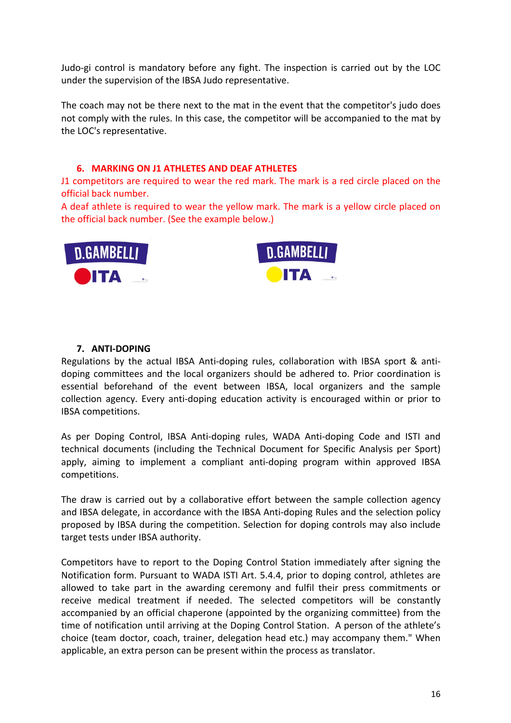Judo-gi control is mandatory before any fight. The inspection is carried out by the LOC under the supervision of the IBSA Judo representative.

The coach may not be there next to the mat in the event that the competitor's judo does not comply with the rules. In this case, the competitor will be accompanied to the mat by the LOC's representative.

#### **6. MARKING ON J1 ATHLETES AND DEAF ATHLETES**

J1 competitors are required to wear the red mark. The mark is a red circle placed on the official back number.

A deaf athlete is required to wear the yellow mark. The mark is a yellow circle placed on the official back number. (See the example below.)





#### **7. ANTI-DOPING**

Regulations by the actual IBSA Anti-doping rules, collaboration with IBSA sport & antidoping committees and the local organizers should be adhered to. Prior coordination is essential beforehand of the event between IBSA, local organizers and the sample collection agency. Every anti-doping education activity is encouraged within or prior to IBSA competitions.

As per Doping Control, IBSA Anti-doping rules, WADA Anti-doping Code and ISTI and technical documents (including the Technical Document for Specific Analysis per Sport) apply, aiming to implement a compliant anti-doping program within approved IBSA competitions.

The draw is carried out by a collaborative effort between the sample collection agency and IBSA delegate, in accordance with the IBSA Anti-doping Rules and the selection policy proposed by IBSA during the competition. Selection for doping controls may also include target tests under IBSA authority.

Competitors have to report to the Doping Control Station immediately after signing the Notification form. Pursuant to WADA ISTI Art. 5.4.4, prior to doping control, athletes are allowed to take part in the awarding ceremony and fulfil their press commitments or receive medical treatment if needed. The selected competitors will be constantly accompanied by an official chaperone (appointed by the organizing committee) from the time of notification until arriving at the Doping Control Station. A person of the athlete's choice (team doctor, coach, trainer, delegation head etc.) may accompany them." When applicable, an extra person can be present within the process as translator.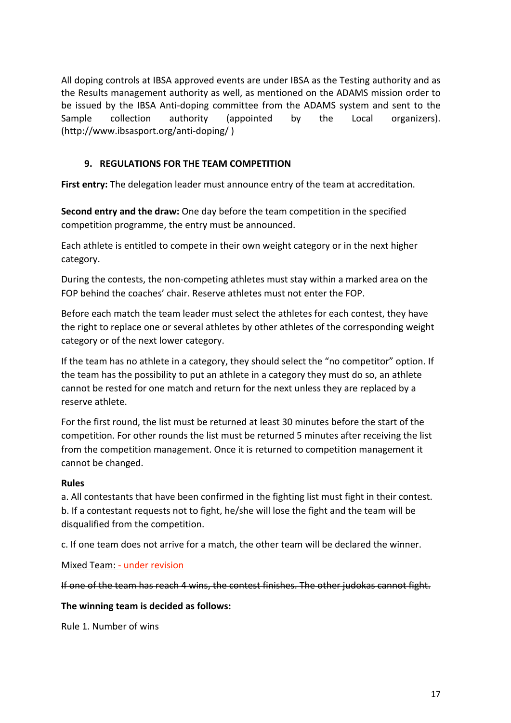All doping controls at IBSA approved events are under IBSA as the Testing authority and as the Results management authority as well, as mentioned on the ADAMS mission order to be issued by the IBSA Anti-doping committee from the ADAMS system and sent to the Sample collection authority (appointed by the Local organizers). (http://www.ibsasport.org/anti-doping/ )

# **9. REGULATIONS FOR THE TEAM COMPETITION**

**First entry:** The delegation leader must announce entry of the team at accreditation.

**Second entry and the draw:** One day before the team competition in the specified competition programme, the entry must be announced.

Each athlete is entitled to compete in their own weight category or in the next higher category.

During the contests, the non-competing athletes must stay within a marked area on the FOP behind the coaches' chair. Reserve athletes must not enter the FOP.

Before each match the team leader must select the athletes for each contest, they have the right to replace one or several athletes by other athletes of the corresponding weight category or of the next lower category.

If the team has no athlete in a category, they should select the "no competitor" option. If the team has the possibility to put an athlete in a category they must do so, an athlete cannot be rested for one match and return for the next unless they are replaced by a reserve athlete.

For the first round, the list must be returned at least 30 minutes before the start of the competition. For other rounds the list must be returned 5 minutes after receiving the list from the competition management. Once it is returned to competition management it cannot be changed.

#### **Rules**

a. All contestants that have been confirmed in the fighting list must fight in their contest. b. If a contestant requests not to fight, he/she will lose the fight and the team will be disqualified from the competition.

c. If one team does not arrive for a match, the other team will be declared the winner.

# Mixed Team: - under revision

If one of the team has reach 4 wins, the contest finishes. The other judokas cannot fight.

#### **The winning team is decided as follows:**

Rule 1. Number of wins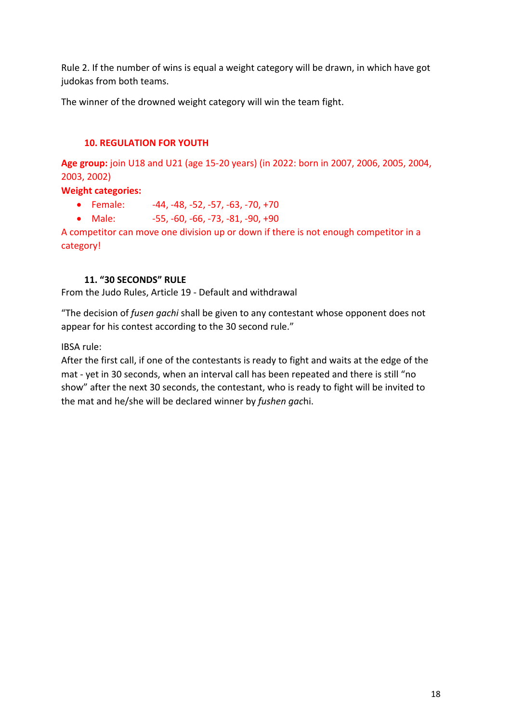Rule 2. If the number of wins is equal a weight category will be drawn, in which have got judokas from both teams.

The winner of the drowned weight category will win the team fight.

# **10. REGULATION FOR YOUTH**

**Age group:** join U18 and U21 (age 15-20 years) (in 2022: born in 2007, 2006, 2005, 2004, 2003, 2002)

# **Weight categories:**

- Female:  $-44, -48, -52, -57, -63, -70, +70$
- Male:  $-55, -60, -66, -73, -81, -90, +90$

A competitor can move one division up or down if there is not enough competitor in a category!

# **11. "30 SECONDS" RULE**

From the Judo Rules, Article 19 - Default and withdrawal

"The decision of *fusen gachi* shall be given to any contestant whose opponent does not appear for his contest according to the 30 second rule."

IBSA rule:

After the first call, if one of the contestants is ready to fight and waits at the edge of the mat - yet in 30 seconds, when an interval call has been repeated and there is still "no show" after the next 30 seconds, the contestant, who is ready to fight will be invited to the mat and he/she will be declared winner by *fushen gac*hi.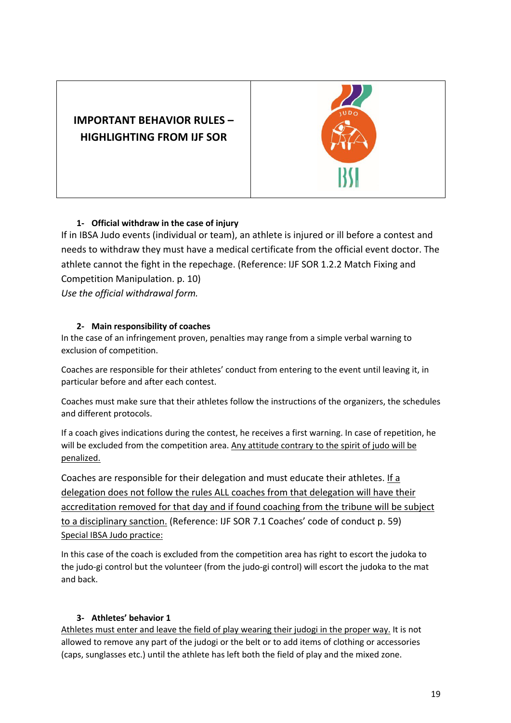



# **1- Official withdraw in the case of injury**

If in IBSA Judo events (individual or team), an athlete is injured or ill before a contest and needs to withdraw they must have a medical certificate from the official event doctor. The athlete cannot the fight in the repechage. (Reference: IJF SOR 1.2.2 Match Fixing and Competition Manipulation. p. 10)

*Use the official withdrawal form.* 

# **2- Main responsibility of coaches**

In the case of an infringement proven, penalties may range from a simple verbal warning to exclusion of competition.

Coaches are responsible for their athletes' conduct from entering to the event until leaving it, in particular before and after each contest.

Coaches must make sure that their athletes follow the instructions of the organizers, the schedules and different protocols.

If a coach gives indications during the contest, he receives a first warning. In case of repetition, he will be excluded from the competition area. Any attitude contrary to the spirit of judo will be penalized.

Coaches are responsible for their delegation and must educate their athletes. If a delegation does not follow the rules ALL coaches from that delegation will have their accreditation removed for that day and if found coaching from the tribune will be subject to a disciplinary sanction. (Reference: IJF SOR 7.1 Coaches' code of conduct p. 59) Special IBSA Judo practice:

In this case of the coach is excluded from the competition area has right to escort the judoka to the judo-gi control but the volunteer (from the judo-gi control) will escort the judoka to the mat and back.

# **3- Athletes' behavior 1**

Athletes must enter and leave the field of play wearing their judogi in the proper way. It is not allowed to remove any part of the judogi or the belt or to add items of clothing or accessories (caps, sunglasses etc.) until the athlete has left both the field of play and the mixed zone.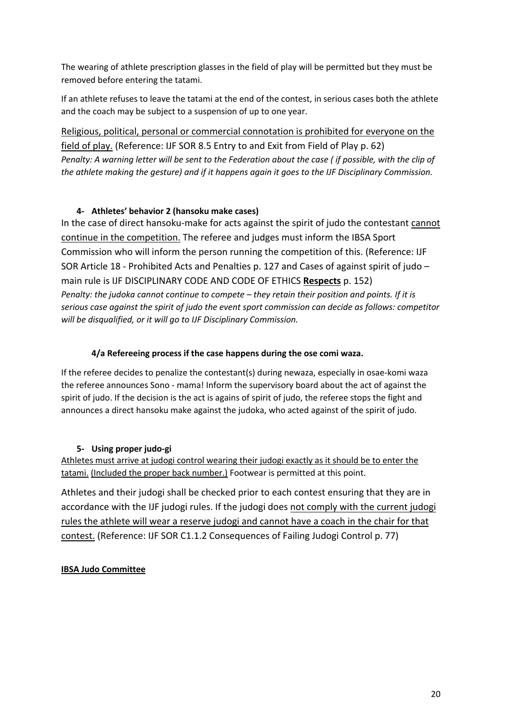The wearing of athlete prescription glasses in the field of play will be permitted but they must be removed before entering the tatami.

If an athlete refuses to leave the tatami at the end of the contest, in serious cases both the athlete and the coach may be subject to a suspension of up to one year.

Religious, political, personal or commercial connotation is prohibited for everyone on the field of play. (Reference: IJF SOR 8.5 Entry to and Exit from Field of Play p. 62) *Penalty: A warning letter will be sent to the Federation about the case ( if possible, with the clip of the athlete making the gesture) and if it happens again it goes to the IJF Disciplinary Commission.*

# **4- Athletes' behavior 2 (hansoku make cases)**

In the case of direct hansoku-make for acts against the spirit of judo the contestant cannot continue in the competition. The referee and judges must inform the IBSA Sport Commission who will inform the person running the competition of this. (Reference: IJF SOR Article 18 - Prohibited Acts and Penalties p. 127 and Cases of against spirit of judo – main rule is IJF DISCIPLINARY CODE AND CODE OF ETHICS **Respects** p. 152) *Penalty: the judoka cannot continue to compete – they retain their position and points. If it is serious case against the spirit of judo the event sport commission can decide as follows: competitor will be disqualified, or it will go to IJF Disciplinary Commission.*

# **4/a Refereeing process if the case happens during the ose comi waza.**

If the referee decides to penalize the contestant(s) during newaza, especially in osae-komi waza the referee announces Sono - mama! Inform the supervisory board about the act of against the spirit of judo. If the decision is the act is agains of spirit of judo, the referee stops the fight and announces a direct hansoku make against the judoka, who acted against of the spirit of judo.

# **5- Using proper judo-gi**

Athletes must arrive at judogi control wearing their judogi exactly as it should be to enter the tatami. (Included the proper back number.) Footwear is permitted at this point.

Athletes and their judogi shall be checked prior to each contest ensuring that they are in accordance with the IJF judogi rules. If the judogi does not comply with the current judogi rules the athlete will wear a reserve judogi and cannot have a coach in the chair for that contest. (Reference: IJF SOR C1.1.2 Consequences of Failing Judogi Control p. 77)

# **IBSA Judo Committee**